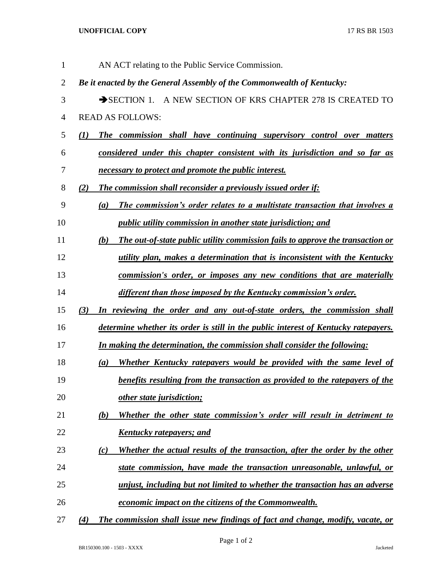## **UNOFFICIAL COPY** 17 RS BR 1503

| 1              | AN ACT relating to the Public Service Commission.                                     |
|----------------|---------------------------------------------------------------------------------------|
| $\overline{2}$ | Be it enacted by the General Assembly of the Commonwealth of Kentucky:                |
| 3              | SECTION 1. A NEW SECTION OF KRS CHAPTER 278 IS CREATED TO                             |
| $\overline{4}$ | <b>READ AS FOLLOWS:</b>                                                               |
| 5              | The commission shall have continuing supervisory control over matters<br>(I)          |
| 6              | considered under this chapter consistent with its jurisdiction and so far as          |
| 7              | necessary to protect and promote the public interest.                                 |
| $8\,$          | <b>The commission shall reconsider a previously issued order if:</b><br>(2)           |
| 9              | The commission's order relates to a multistate transaction that involves a<br>(a)     |
| 10             | <i>public utility commission in another state jurisdiction; and</i>                   |
| 11             | The out-of-state public utility commission fails to approve the transaction or<br>(b) |
| 12             | utility plan, makes a determination that is inconsistent with the Kentucky            |
| 13             | commission's order, or imposes any new conditions that are materially                 |
| 14             | different than those imposed by the Kentucky commission's order.                      |
| 15             | (3)<br>In reviewing the order and any out-of-state orders, the commission shall       |
| 16             | determine whether its order is still in the public interest of Kentucky ratepayers.   |
| 17             | In making the determination, the commission shall consider the following:             |
| 18             | Whether Kentucky ratepayers would be provided with the same level of<br>(a)           |
| 19             | benefits resulting from the transaction as provided to the ratepayers of the          |
| 20             | other state jurisdiction;                                                             |
| 21             | Whether the other state commission's order will result in detriment to<br>(b)         |
| 22             | <u>Kentucky ratepayers; and</u>                                                       |
| 23             | Whether the actual results of the transaction, after the order by the other<br>(c)    |
| 24             | state commission, have made the transaction unreasonable, unlawful, or                |
| 25             | unjust, including but not limited to whether the transaction has an adverse           |
| 26             | economic impact on the citizens of the Commonwealth.                                  |
| 27             | The commission shall issue new findings of fact and change, modify, vacate, or<br>(4) |

Page 1 of 2